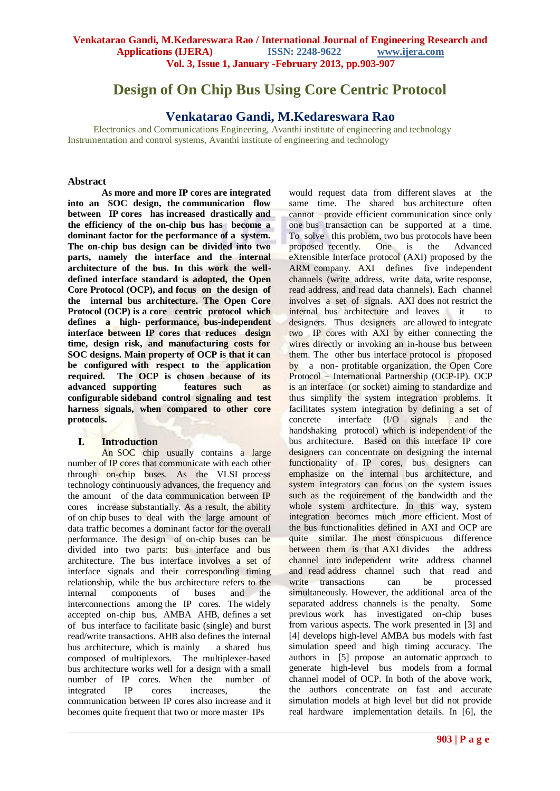# **Design of On Chip Bus Using Core Centric Protocol**

**Venkatarao Gandi, M.Kedareswara Rao**

Electronics and Communications Engineering, Avanthi institute of engineering and technology Instrumentation and control systems, Avanthi institute of engineering and technology

#### **Abstract**

**As more and more IP cores are integrated into an SOC design, the communication flow between IP cores has increased drastically and the efficiency of the on-chip bus has become a dominant factor for the performance of a system. The on-chip bus design can be divided into two parts, namely the interface and the internal architecture of the bus. In this work the welldefined interface standard is adopted, the Open Core Protocol (OCP), and focus on the design of the internal bus architecture. The Open Core Protocol (OCP) is a core centric protocol which defines a high- performance, bus-independent interface between IP cores that reduces design time, design risk, and manufacturing costs for SOC designs. Main property of OCP is that it can be configured with respect to the application required. The OCP is chosen because of its advanced supporting features such as configurable sideband control signaling and test harness signals, when compared to other core protocols.**

## **I. Introduction**

An SOC chip usually contains a large number of IP cores that communicate with each other through on-chip buses. As the VLSI process technology continuously advances, the frequency and the amount of the data communication between IP cores increase substantially. As a result, the ability of on chip buses to deal with the large amount of data traffic becomes a dominant factor for the overall performance. The design of on-chip buses can be divided into two parts: bus interface and bus architecture. The bus interface involves a set of interface signals and their corresponding timing relationship, while the bus architecture refers to the internal components of buses and the interconnections among the IP cores. The widely accepted on-chip bus, AMBA AHB, defines a set of bus interface to facilitate basic (single) and burst read/write transactions. AHB also defines the internal bus architecture, which is mainly a shared bus composed of multiplexors. The multiplexer-based bus architecture works well for a design with a small number of IP cores. When the number of integrated IP cores increases, the communication between IP cores also increase and it becomes quite frequent that two or more master IPs

would request data from different slaves at the same time. The shared bus architecture often cannot provide efficient communication since only one bus transaction can be supported at a time. To solve this problem, two bus protocols have been<br>proposed recently. One is the Advanced proposed recently. One is the eXtensible Interface protocol (AXI) proposed by the ARM company. AXI defines five independent channels (write address, write data, write response, read address, and read data channels). Each channel involves a set of signals. AXI does not restrict the internal bus architecture and leaves it to designers. Thus designers are allowed to integrate two IP cores with AXI by either connecting the wires directly or invoking an in-house bus between them. The other bus interface protocol is proposed by a non- profitable organization, the Open Core Protocol – International Partnership (OCP-IP). OCP is an interface (or socket) aiming to standardize and thus simplify the system integration problems. It facilitates system integration by defining a set of concrete interface (I/O signals and the handshaking protocol) which is independent of the bus architecture. Based on this interface IP core designers can concentrate on designing the internal functionality of IP cores, bus designers can emphasize on the internal bus architecture, and system integrators can focus on the system issues such as the requirement of the bandwidth and the whole system architecture. In this way, system integration becomes much more efficient. Most of the bus functionalities defined in AXI and OCP are quite similar. The most conspicuous difference between them is that AXI divides the address channel into independent write address channel and read address channel such that read and write transactions can be processed simultaneously. However, the additional area of the separated address channels is the penalty. Some previous work has investigated on-chip buses from various aspects. The work presented in [3] and [4] develops high-level AMBA bus models with fast simulation speed and high timing accuracy. The authors in [5] propose an automatic approach to generate high-level bus models from a formal channel model of OCP. In both of the above work, the authors concentrate on fast and accurate simulation models at high level but did not provide real hardware implementation details. In [6], the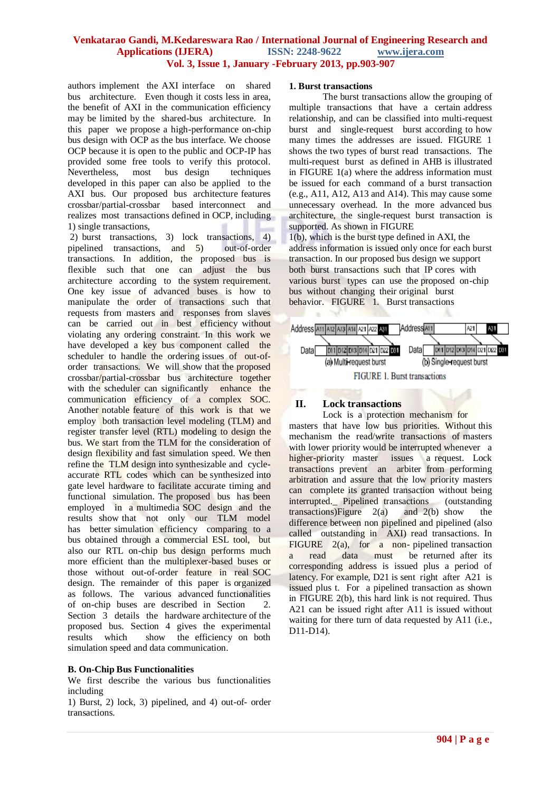authors implement the AXI interface on shared bus architecture. Even though it costs less in area, the benefit of AXI in the communication efficiency may be limited by the shared-bus architecture. In this paper we propose a high-performance on-chip bus design with OCP as the bus interface. We choose OCP because it is open to the public and OCP-IP has provided some free tools to verify this protocol. Nevertheless, most bus design techniques developed in this paper can also be applied to the AXI bus. Our proposed bus architecture features crossbar/partial-crossbar based interconnect and realizes most transactions defined in OCP, including 1) single transactions,

2) burst transactions, 3) lock transactions, 4) pipelined transactions, and 5) out-of-order transactions. In addition, the proposed bus is flexible such that one can adjust the bus architecture according to the system requirement. One key issue of advanced buses is how to manipulate the order of transactions such that requests from masters and responses from slaves can be carried out in best efficiency without violating any ordering constraint. In this work we have developed a key bus component called the scheduler to handle the ordering issues of out-oforder transactions. We will show that the proposed crossbar/partial-crossbar bus architecture together with the scheduler can significantly enhance the communication efficiency of a complex SOC. Another notable feature of this work is that we employ both transaction level modeling (TLM) and register transfer level (RTL) modeling to design the bus. We start from the TLM for the consideration of design flexibility and fast simulation speed. We then refine the TLM design into synthesizable and cycleaccurate RTL codes which can be synthesized into gate level hardware to facilitate accurate timing and functional simulation. The proposed bus has been employed in a multimedia SOC design and the results show that not only our TLM model has better simulation efficiency comparing to a bus obtained through a commercial ESL tool, but also our RTL on-chip bus design performs much more efficient than the multiplexer-based buses or those without out-of-order feature in real SOC design. The remainder of this paper is organized as follows. The various advanced functionalities of on-chip buses are described in Section 2. Section 3 details the hardware architecture of the proposed bus. Section 4 gives the experimental results which show the efficiency on both simulation speed and data communication.

#### **B. On-Chip Bus Functionalities**

We first describe the various bus functionalities including

1) Burst, 2) lock, 3) pipelined, and 4) out-of- order transactions.

#### **1. Burst transactions**

The burst transactions allow the grouping of multiple transactions that have a certain address relationship, and can be classified into multi-request burst and single-request burst according to how many times the addresses are issued. FIGURE 1 shows the two types of burst read transactions. The multi-request burst as defined in AHB is illustrated in FIGURE 1(a) where the address information must be issued for each command of a burst transaction (e.g., A11, A12, A13 and A14). This may cause some unnecessary overhead. In the more advanced bus architecture, the single-request burst transaction is supported. As shown in FIGURE

1(b), which is the burst type defined in AXI, the address information is issued only once for each burst transaction. In our proposed bus design we support both burst transactions such that IP cores with various burst types can use the proposed on-chip bus without changing their original burst behavior. FIGURE 1. Burst transactions



A

## **II. Lock transactions**

Lock is a protection mechanism for masters that have low bus priorities. Without this mechanism the read/write transactions of masters with lower priority would be interrupted whenever a higher-priority master issues a request. Lock transactions prevent an arbiter from performing arbitration and assure that the low priority masters can complete its granted transaction without being interrupted. Pipelined transactions (outstanding transactions)Figure 2(a) and 2(b) show the difference between non pipelined and pipelined (also called outstanding in AXI) read transactions. In FIGURE  $2(a)$ , for a non-pipelined transaction a read data must be returned after its corresponding address is issued plus a period of latency. For example, D21 is sent right after A21 is issued plus t. For a pipelined transaction as shown in FIGURE 2(b), this hard link is not required. Thus A21 can be issued right after A11 is issued without waiting for there turn of data requested by A11 (i.e., D11-D14).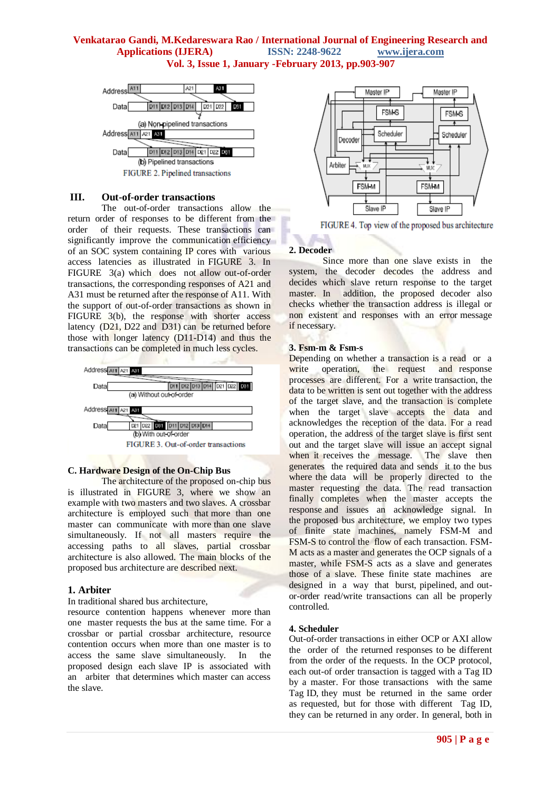

#### **III. Out-of-order transactions**

The out-of-order transactions allow the return order of responses to be different from the order of their requests. These transactions can significantly improve the communication efficiency of an SOC system containing IP cores with various access latencies as illustrated in FIGURE 3. In FIGURE 3(a) which does not allow out-of-order transactions, the corresponding responses of A21 and A31 must be returned after the response of A11. With the support of out-of-order transactions as shown in FIGURE 3(b), the response with shorter access latency (D21, D22 and D31) can be returned before those with longer latency (D11-D14) and thus the transactions can be completed in much less cycles.



#### **C. Hardware Design of the On-Chip Bus**

The architecture of the proposed on-chip bus is illustrated in FIGURE 3, where we show an example with two masters and two slaves. A crossbar architecture is employed such that more than one master can communicate with more than one slave simultaneously. If not all masters require the accessing paths to all slaves, partial crossbar architecture is also allowed. The main blocks of the proposed bus architecture are described next.

## **1. Arbiter**

In traditional shared bus architecture,

resource contention happens whenever more than one master requests the bus at the same time. For a crossbar or partial crossbar architecture, resource contention occurs when more than one master is to access the same slave simultaneously. In the proposed design each slave IP is associated with an arbiter that determines which master can access the slave.



FIGURE 4. Top view of the proposed bus architecture

## **2. Decoder**

Since more than one slave exists in the system, the decoder decodes the address and decides which slave return response to the target master. In addition, the proposed decoder also checks whether the transaction address is illegal or non existent and responses with an error message if necessary.

#### **3. Fsm-m & Fsm-s**

Depending on whether a transaction is a read or a write operation, the request and response processes are different. For a write transaction, the data to be written is sent out together with the address of the target slave, and the transaction is complete when the target slave accepts the data and acknowledges the reception of the data. For a read operation, the address of the target slave is first sent out and the target slave will issue an accept signal when it receives the message. The slave then generates the required data and sends it to the bus where the data will be properly directed to the master requesting the data. The read transaction finally completes when the master accepts the response and issues an acknowledge signal. In the proposed bus architecture, we employ two types of finite state machines, namely FSM-M and FSM-S to control the flow of each transaction. FSM-M acts as a master and generates the OCP signals of a master, while FSM-S acts as a slave and generates those of a slave. These finite state machines are designed in a way that burst, pipelined, and outor-order read/write transactions can all be properly controlled.

## **4. Scheduler**

Out-of-order transactions in either OCP or AXI allow the order of the returned responses to be different from the order of the requests. In the OCP protocol, each out-of order transaction is tagged with a Tag ID by a master. For those transactions with the same Tag ID, they must be returned in the same order as requested, but for those with different Tag ID, they can be returned in any order. In general, both in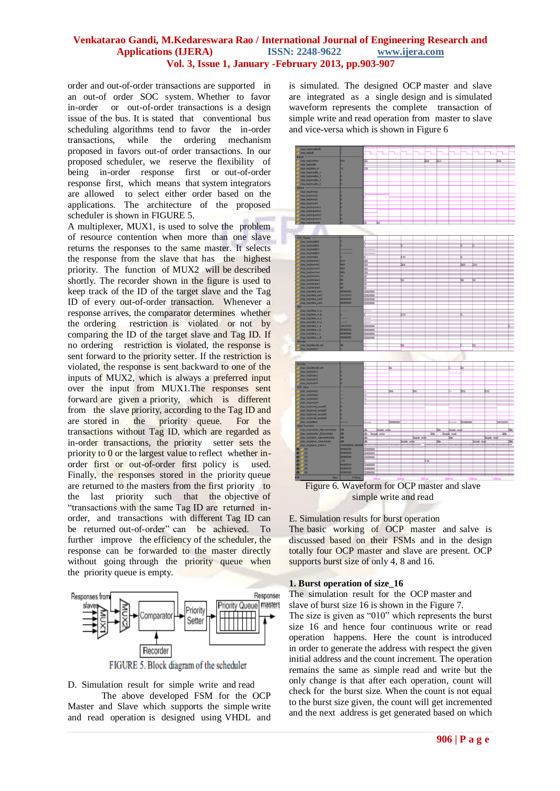order and out-of-order transactions are supported in an out-of order SOC system. Whether to favor in-order or out-of-order transactions is a design issue of the bus. It is stated that conventional bus scheduling algorithms tend to favor the in-order transactions, while the ordering mechanism proposed in favors out-of order transactions. In our proposed scheduler, we reserve the flexibility of being in-order response first or out-of-order response first, which means that system integrators are allowed to select either order based on the applications. The architecture of the proposed scheduler is shown in FIGURE 5.

A multiplexer, MUX1, is used to solve the problem of resource contention when more than one slave returns the responses to the same master. It selects the response from the slave that has the highest priority. The function of MUX2 will be described shortly. The recorder shown in the figure is used to keep track of the ID of the target slave and the Tag ID of every out-of-order transaction. Whenever a response arrives, the comparator determines whether the ordering restriction is violated or not by comparing the ID of the target slave and Tag ID. If no ordering restriction is violated, the response is sent forward to the priority setter. If the restriction is violated, the response is sent backward to one of the inputs of MUX2, which is always a preferred input over the input from MUX1.The responses sent forward are given a priority, which is different from the slave priority, according to the Tag ID and are stored in the priority queue. For the transactions without Tag ID, which are regarded as in-order transactions, the priority setter sets the priority to 0 or the largest value to reflect whether inorder first or out-of-order first policy is used. Finally, the responses stored in the priority queue are returned to the masters from the first priority to the last priority such that the objective of "transactions with the same Tag ID are returned inorder, and transactions with different Tag ID can be returned out-of-order" can be achieved. To further improve the efficiency of the scheduler, the response can be forwarded to the master directly without going through the priority queue when the priority queue is empty.



FIGURE 5. Block diagram of the scheduler

D. Simulation result for simple write and read The above developed FSM for the OCP Master and Slave which supports the simple write and read operation is designed using VHDL and is simulated. The designed OCP master and slave are integrated as a single design and is simulated waveform represents the complete transaction of simple write and read operation from master to slave and vice-versa which is shown in Figure 6



Figure 6. Waveform for OCP master and slave simple write and read

#### E. Simulation results for burst operation

The basic working of OCP master and salve is discussed based on their FSMs and in the design totally four OCP master and slave are present. OCP supports burst size of only 4, 8 and 16.

#### **1. Burst operation of size\_16**

The simulation result for the OCP master and slave of burst size 16 is shown in the Figure 7.

The size is given as "010" which represents the burst size 16 and hence four continuous write or read operation happens. Here the count is introduced in order to generate the address with respect the given initial address and the count increment. The operation remains the same as simple read and write but the only change is that after each operation, count will check for the burst size. When the count is not equal to the burst size given, the count will get incremented and the next address is get generated based on which